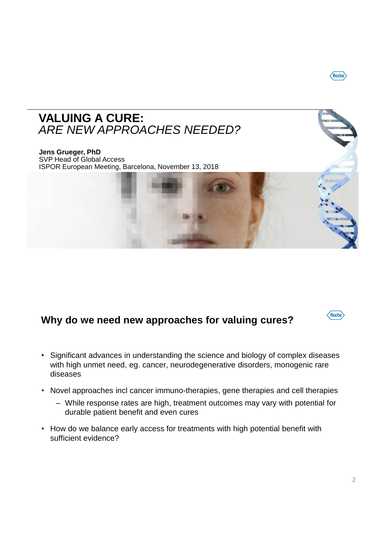## **VALUING A CURE:**  *ARE NEW APPROACHES NEEDED?*

**Jens Grueger, PhD** SVP Head of Global Access ISPOR European Meeting, Barcelona, November 13, 2018

## **Why do we need new approaches for valuing cures?**

- Significant advances in understanding the science and biology of complex diseases with high unmet need, eg. cancer, neurodegenerative disorders, monogenic rare diseases
- Novel approaches incl cancer immuno-therapies, gene therapies and cell therapies
	- While response rates are high, treatment outcomes may vary with potential for durable patient benefit and even cures
- How do we balance early access for treatments with high potential benefit with sufficient evidence?



 $\langle$ Roche $\rangle$ 

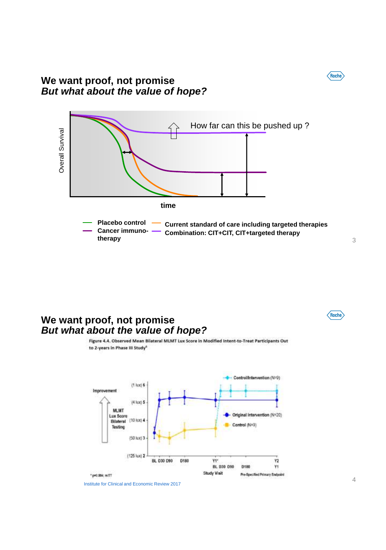#### **We want proof, not promise** *But what about the value of hope?*



#### **We want proof, not promise** *But what about the value of hope?*

to 2-years in Phase III Study<sup>4</sup>



Figure 4.4. Observed Mean Bilateral MLMT Lux Score in Modified Intent-to-Treat Participants Out

Institute for Clinical and Economic Review 2017

3

Roche

 $\sqrt{\text{Roche}}$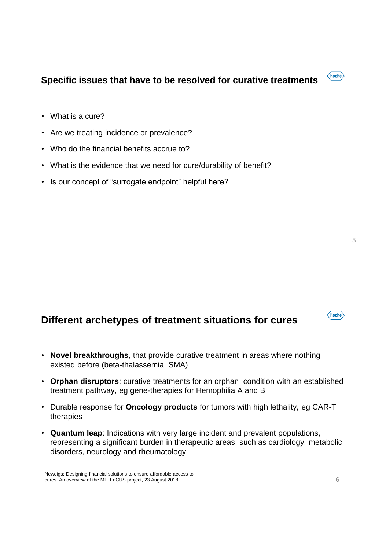### **Specific issues that have to be resolved for curative treatments**

- What is a cure?
- Are we treating incidence or prevalence?
- Who do the financial benefits accrue to?
- What is the evidence that we need for cure/durability of benefit?
- Is our concept of "surrogate endpoint" helpful here?

### **Different archetypes of treatment situations for cures**

- **Novel breakthroughs**, that provide curative treatment in areas where nothing existed before (beta-thalassemia, SMA)
- **Orphan disruptors**: curative treatments for an orphan condition with an established treatment pathway, eg gene-therapies for Hemophilia A and B
- Durable response for **Oncology products** for tumors with high lethality, eg CAR-T therapies
- **Quantum leap**: Indications with very large incident and prevalent populations, representing a significant burden in therapeutic areas, such as cardiology, metabolic disorders, neurology and rheumatology



 $\langle$ Roche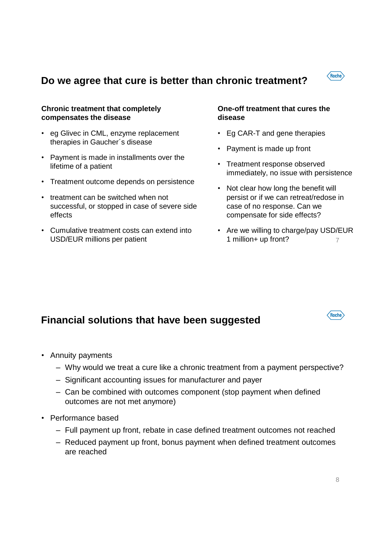## $\langle$ Roche $\rangle$

### **Do we agree that cure is better than chronic treatment?**

#### **Chronic treatment that completely compensates the disease**

- eg Glivec in CML, enzyme replacement therapies in Gaucher´s disease
- Payment is made in installments over the lifetime of a patient
- Treatment outcome depends on persistence
- treatment can be switched when not successful, or stopped in case of severe side effects
- Cumulative treatment costs can extend into USD/EUR millions per patient

#### **One-off treatment that cures the disease**

- Eg CAR-T and gene therapies
- Payment is made up front
- Treatment response observed immediately, no issue with persistence
- Not clear how long the benefit will persist or if we can retreat/redose in case of no response. Can we compensate for side effects?
- 7 • Are we willing to charge/pay USD/EUR 1 million+ up front?

### **Financial solutions that have been suggested**

- Annuity payments
	- Why would we treat a cure like a chronic treatment from a payment perspective?
	- Significant accounting issues for manufacturer and payer
	- Can be combined with outcomes component (stop payment when defined outcomes are not met anymore)
- Performance based
	- Full payment up front, rebate in case defined treatment outcomes not reached
	- Reduced payment up front, bonus payment when defined treatment outcomes are reached

Roche